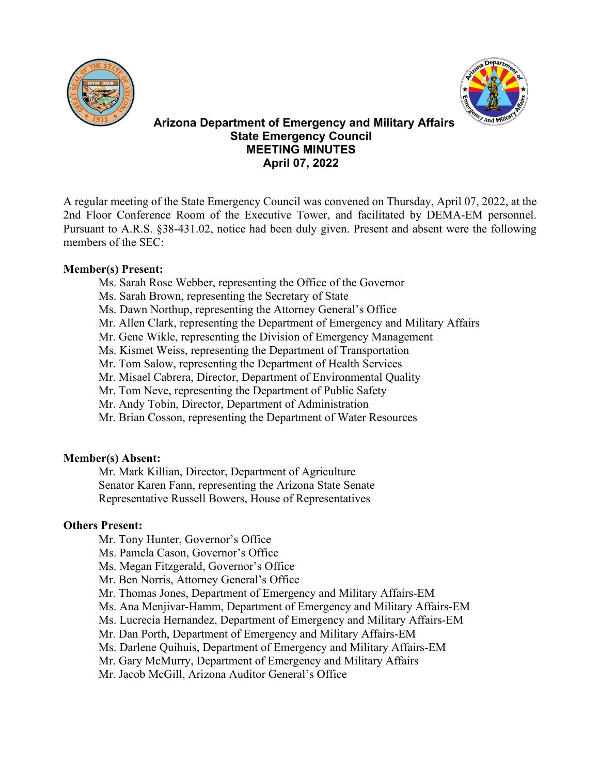



# **Arizona Department of Emergency and Military Affairs State Emergency Council MEETING MINUTES April 07, 2022**

A regular meeting of the State Emergency Council was convened on Thursday, April 07, 2022, at the 2nd Floor Conference Room of the Executive Tower, and facilitated by DEMA-EM personnel. Pursuant to A.R.S. §38-431.02, notice had been duly given. Present and absent were the following members of the SEC:

# **Member(s) Present:**

- Ms. Sarah Rose Webber, representing the Office of the Governor
- Ms. Sarah Brown, representing the Secretary of State
- Ms. Dawn Northup, representing the Attorney General's Office
- Mr. Allen Clark, representing the Department of Emergency and Military Affairs
- Mr. Gene Wikle, representing the Division of Emergency Management
- Ms. Kismet Weiss, representing the Department of Transportation
- Mr. Tom Salow, representing the Department of Health Services
- Mr. Misael Cabrera, Director, Department of Environmental Quality
- Mr. Tom Neve, representing the Department of Public Safety
- Mr. Andy Tobin, Director, Department of Administration
- Mr. Brian Cosson, representing the Department of Water Resources

# **Member(s) Absent:**

Mr. Mark Killian, Director, Department of Agriculture Senator Karen Fann, representing the Arizona State Senate Representative Russell Bowers, House of Representatives

# **Others Present:**

- Mr. Tony Hunter, Governor's Office
- Ms. Pamela Cason, Governor's Office
- Ms. Megan Fitzgerald, Governor's Office
- Mr. Ben Norris, Attorney General's Office
- Mr. Thomas Jones, Department of Emergency and Military Affairs-EM
- Ms. Ana Menjivar-Hamm, Department of Emergency and Military Affairs-EM
- Ms. Lucrecia Hernandez, Department of Emergency and Military Affairs-EM
- Mr. Dan Porth, Department of Emergency and Military Affairs-EM
- Ms. Darlene Quihuis, Department of Emergency and Military Affairs-EM
- Mr. Gary McMurry, Department of Emergency and Military Affairs
- Mr. Jacob McGill, Arizona Auditor General's Office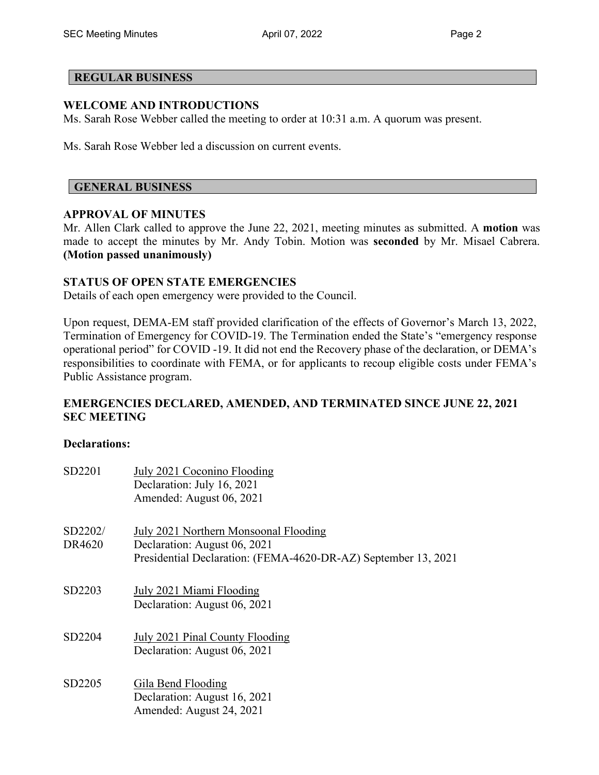## **REGULAR BUSINESS**

## **WELCOME AND INTRODUCTIONS**

Ms. Sarah Rose Webber called the meeting to order at 10:31 a.m. A quorum was present.

Ms. Sarah Rose Webber led a discussion on current events.

#### **GENERAL BUSINESS**

#### **APPROVAL OF MINUTES**

Mr. Allen Clark called to approve the June 22, 2021, meeting minutes as submitted. A **motion** was made to accept the minutes by Mr. Andy Tobin. Motion was **seconded** by Mr. Misael Cabrera. **(Motion passed unanimously)** 

#### **STATUS OF OPEN STATE EMERGENCIES**

Details of each open emergency were provided to the Council.

Upon request, DEMA-EM staff provided clarification of the effects of Governor's March 13, 2022, Termination of Emergency for COVID-19. The Termination ended the State's "emergency response operational period" for COVID -19. It did not end the Recovery phase of the declaration, or DEMA's responsibilities to coordinate with FEMA, or for applicants to recoup eligible costs under FEMA's Public Assistance program.

# **EMERGENCIES DECLARED, AMENDED, AND TERMINATED SINCE JUNE 22, 2021 SEC MEETING**

#### **Declarations:**

| SD2201            | July 2021 Coconino Flooding<br>Declaration: July 16, 2021<br>Amended: August 06, 2021                                                   |
|-------------------|-----------------------------------------------------------------------------------------------------------------------------------------|
| SD2202/<br>DR4620 | July 2021 Northern Monsoonal Flooding<br>Declaration: August 06, 2021<br>Presidential Declaration: (FEMA-4620-DR-AZ) September 13, 2021 |
| SD2203            | July 2021 Miami Flooding<br>Declaration: August 06, 2021                                                                                |
| SD2204            | July 2021 Pinal County Flooding<br>Declaration: August 06, 2021                                                                         |
| SD2205            | Gila Bend Flooding<br>Declaration: August 16, 2021<br>Amended: August 24, 2021                                                          |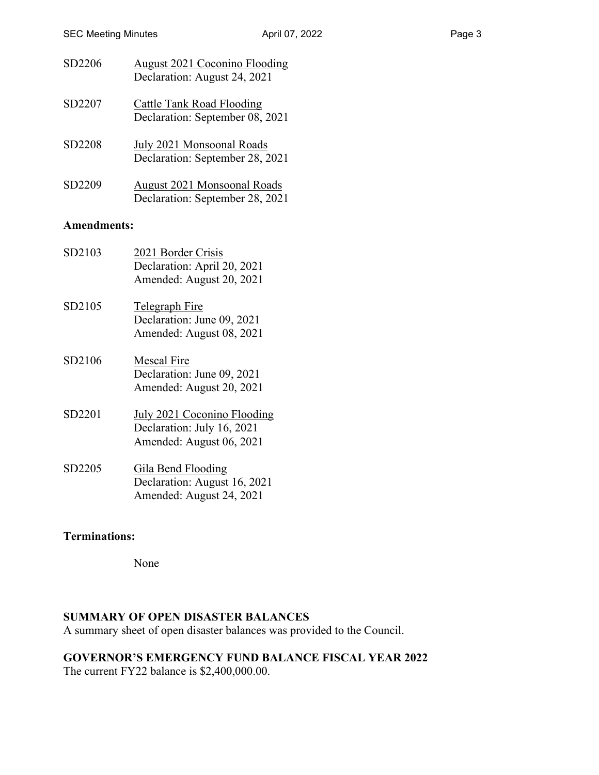| SD2206 | <b>August 2021 Coconino Flooding</b><br>Declaration: August 24, 2021 |
|--------|----------------------------------------------------------------------|
| SD2207 | <b>Cattle Tank Road Flooding</b><br>Declaration: September 08, 2021  |
| SD2208 | July 2021 Monsoonal Roads<br>Declaration: September 28, 2021         |

SD2209 August 2021 Monsoonal Roads Declaration: September 28, 2021

## **Amendments:**

| SD2103 | 2021 Border Crisis<br>Declaration: April 20, 2021<br>Amended: August 20, 2021                |
|--------|----------------------------------------------------------------------------------------------|
| SD2105 | <b>Telegraph Fire</b><br>Declaration: June 09, 2021<br>Amended: August 08, 2021              |
| SD2106 | <b>Mescal Fire</b><br>Declaration: June 09, 2021<br>Amended: August 20, 2021                 |
| SD2201 | <b>July 2021 Coconino Flooding</b><br>Declaration: July 16, 2021<br>Amended: August 06, 2021 |
| SD2205 | Gila Bend Flooding<br>Declaration: August 16, 2021<br>Amended: August 24, 2021               |

# **Terminations:**

None

# **SUMMARY OF OPEN DISASTER BALANCES**

A summary sheet of open disaster balances was provided to the Council.

# **GOVERNOR'S EMERGENCY FUND BALANCE FISCAL YEAR 2022**

The current FY22 balance is \$2,400,000.00.